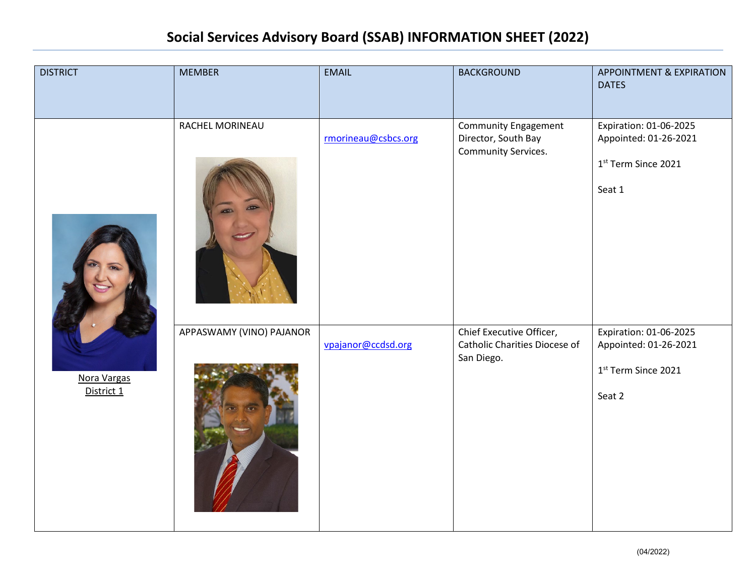| <b>DISTRICT</b>           | <b>MEMBER</b>            | <b>EMAIL</b>        | <b>BACKGROUND</b>                                                         | <b>APPOINTMENT &amp; EXPIRATION</b><br><b>DATES</b>                              |
|---------------------------|--------------------------|---------------------|---------------------------------------------------------------------------|----------------------------------------------------------------------------------|
| Nora Vargas<br>District 1 | RACHEL MORINEAU          | rmorineau@csbcs.org | <b>Community Engagement</b><br>Director, South Bay<br>Community Services. | Expiration: 01-06-2025<br>Appointed: 01-26-2021<br>1st Term Since 2021<br>Seat 1 |
|                           | APPASWAMY (VINO) PAJANOR | vpajanor@ccdsd.org  | Chief Executive Officer,<br>Catholic Charities Diocese of<br>San Diego.   | Expiration: 01-06-2025<br>Appointed: 01-26-2021<br>1st Term Since 2021<br>Seat 2 |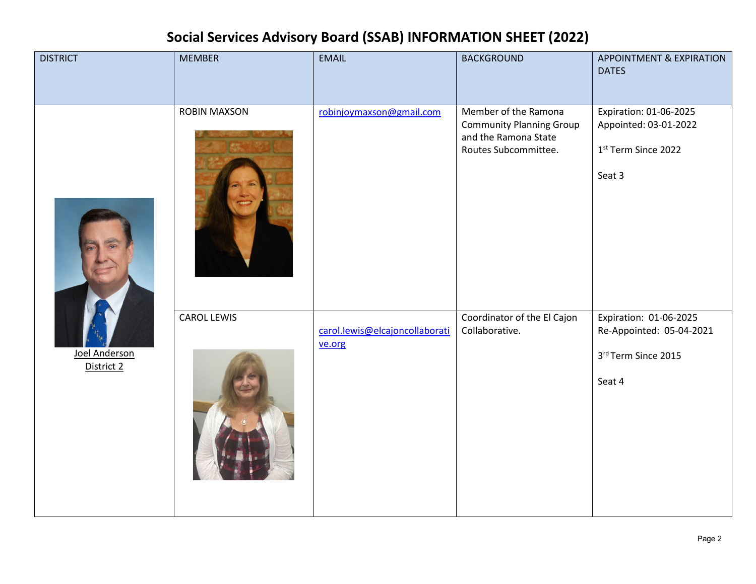| <b>DISTRICT</b>             | <b>MEMBER</b>       | <b>EMAIL</b>                             | <b>BACKGROUND</b>                                                                                       | <b>APPOINTMENT &amp; EXPIRATION</b><br><b>DATES</b>                                 |
|-----------------------------|---------------------|------------------------------------------|---------------------------------------------------------------------------------------------------------|-------------------------------------------------------------------------------------|
| Joel Anderson<br>District 2 | <b>ROBIN MAXSON</b> | robinjoymaxson@gmail.com                 | Member of the Ramona<br><b>Community Planning Group</b><br>and the Ramona State<br>Routes Subcommittee. | Expiration: 01-06-2025<br>Appointed: 03-01-2022<br>1st Term Since 2022<br>Seat 3    |
|                             | <b>CAROL LEWIS</b>  | carol.lewis@elcajoncollaborati<br>ve.org | Coordinator of the El Cajon<br>Collaborative.                                                           | Expiration: 01-06-2025<br>Re-Appointed: 05-04-2021<br>3rd Term Since 2015<br>Seat 4 |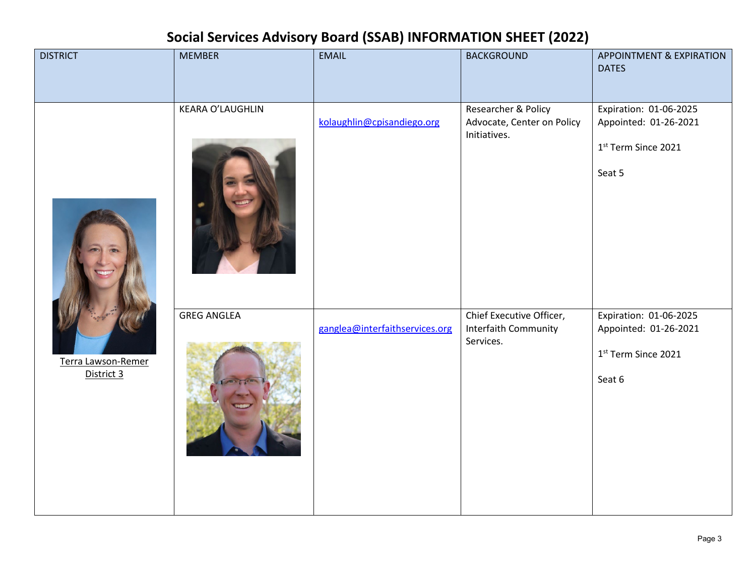| <b>DISTRICT</b>                  | <b>MEMBER</b>           | <b>EMAIL</b>                   | <b>BACKGROUND</b>                                                 | APPOINTMENT & EXPIRATION<br><b>DATES</b>                                         |
|----------------------------------|-------------------------|--------------------------------|-------------------------------------------------------------------|----------------------------------------------------------------------------------|
| Terra Lawson-Remer<br>District 3 | <b>KEARA O'LAUGHLIN</b> | kolaughlin@cpisandiego.org     | Researcher & Policy<br>Advocate, Center on Policy<br>Initiatives. | Expiration: 01-06-2025<br>Appointed: 01-26-2021<br>1st Term Since 2021<br>Seat 5 |
|                                  | <b>GREG ANGLEA</b>      | ganglea@interfaithservices.org | Chief Executive Officer,<br>Interfaith Community<br>Services.     | Expiration: 01-06-2025<br>Appointed: 01-26-2021<br>1st Term Since 2021<br>Seat 6 |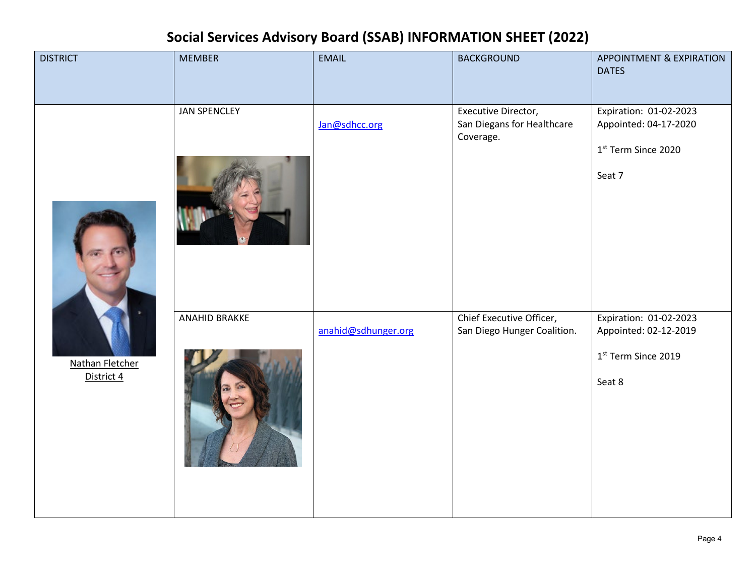| <b>DISTRICT</b>                      | <b>MEMBER</b>       | <b>EMAIL</b>        | <b>BACKGROUND</b>                                              | APPOINTMENT & EXPIRATION<br><b>DATES</b>                                         |
|--------------------------------------|---------------------|---------------------|----------------------------------------------------------------|----------------------------------------------------------------------------------|
| <b>Nathan Fletcher</b><br>District 4 | <b>JAN SPENCLEY</b> | Jan@sdhcc.org       | Executive Director,<br>San Diegans for Healthcare<br>Coverage. | Expiration: 01-02-2023<br>Appointed: 04-17-2020<br>1st Term Since 2020<br>Seat 7 |
|                                      | ANAHID BRAKKE       | anahid@sdhunger.org | Chief Executive Officer,<br>San Diego Hunger Coalition.        | Expiration: 01-02-2023<br>Appointed: 02-12-2019<br>1st Term Since 2019<br>Seat 8 |